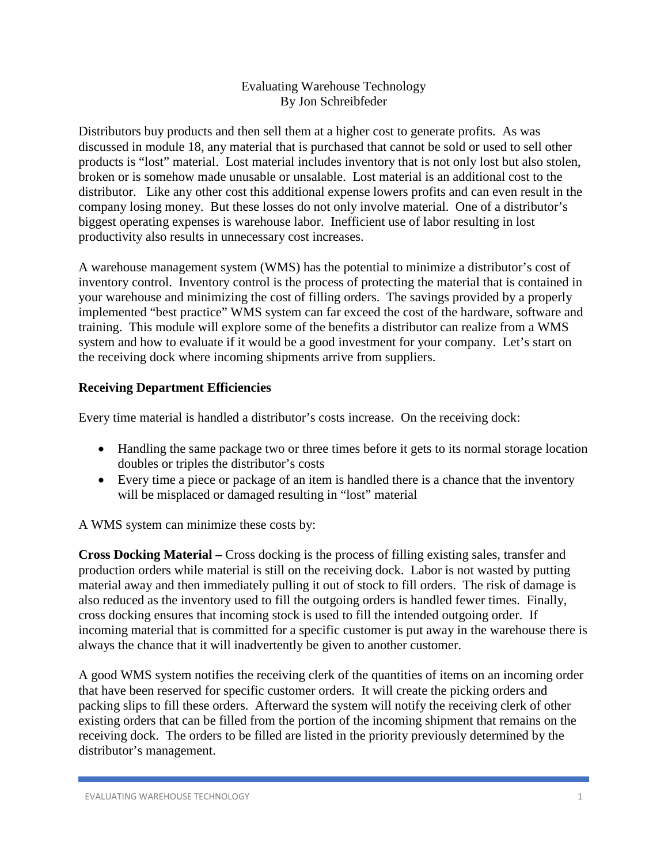### Evaluating Warehouse Technology By Jon Schreibfeder

Distributors buy products and then sell them at a higher cost to generate profits. As was discussed in module 18, any material that is purchased that cannot be sold or used to sell other products is "lost" material. Lost material includes inventory that is not only lost but also stolen, broken or is somehow made unusable or unsalable. Lost material is an additional cost to the distributor. Like any other cost this additional expense lowers profits and can even result in the company losing money. But these losses do not only involve material. One of a distributor's biggest operating expenses is warehouse labor. Inefficient use of labor resulting in lost productivity also results in unnecessary cost increases.

A warehouse management system (WMS) has the potential to minimize a distributor's cost of inventory control. Inventory control is the process of protecting the material that is contained in your warehouse and minimizing the cost of filling orders. The savings provided by a properly implemented "best practice" WMS system can far exceed the cost of the hardware, software and training. This module will explore some of the benefits a distributor can realize from a WMS system and how to evaluate if it would be a good investment for your company. Let's start on the receiving dock where incoming shipments arrive from suppliers.

# **Receiving Department Efficiencies**

Every time material is handled a distributor's costs increase. On the receiving dock:

- Handling the same package two or three times before it gets to its normal storage location doubles or triples the distributor's costs
- Every time a piece or package of an item is handled there is a chance that the inventory will be misplaced or damaged resulting in "lost" material

A WMS system can minimize these costs by:

**Cross Docking Material –** Cross docking is the process of filling existing sales, transfer and production orders while material is still on the receiving dock. Labor is not wasted by putting material away and then immediately pulling it out of stock to fill orders. The risk of damage is also reduced as the inventory used to fill the outgoing orders is handled fewer times. Finally, cross docking ensures that incoming stock is used to fill the intended outgoing order. If incoming material that is committed for a specific customer is put away in the warehouse there is always the chance that it will inadvertently be given to another customer.

A good WMS system notifies the receiving clerk of the quantities of items on an incoming order that have been reserved for specific customer orders. It will create the picking orders and packing slips to fill these orders. Afterward the system will notify the receiving clerk of other existing orders that can be filled from the portion of the incoming shipment that remains on the receiving dock. The orders to be filled are listed in the priority previously determined by the distributor's management.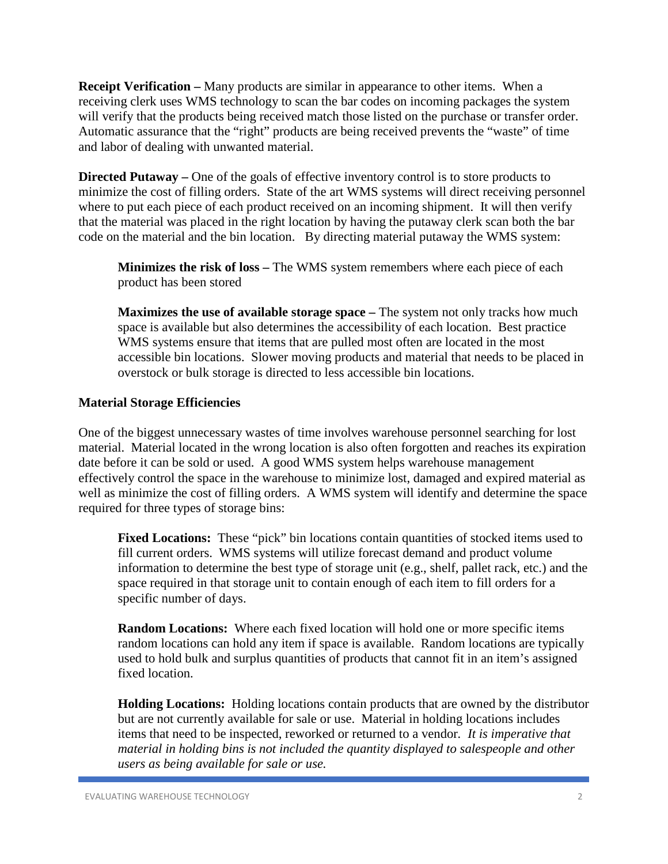**Receipt Verification –** Many products are similar in appearance to other items. When a receiving clerk uses WMS technology to scan the bar codes on incoming packages the system will verify that the products being received match those listed on the purchase or transfer order. Automatic assurance that the "right" products are being received prevents the "waste" of time and labor of dealing with unwanted material.

**Directed Putaway** – One of the goals of effective inventory control is to store products to minimize the cost of filling orders. State of the art WMS systems will direct receiving personnel where to put each piece of each product received on an incoming shipment. It will then verify that the material was placed in the right location by having the putaway clerk scan both the bar code on the material and the bin location. By directing material putaway the WMS system:

**Minimizes the risk of loss –** The WMS system remembers where each piece of each product has been stored

**Maximizes the use of available storage space –** The system not only tracks how much space is available but also determines the accessibility of each location. Best practice WMS systems ensure that items that are pulled most often are located in the most accessible bin locations. Slower moving products and material that needs to be placed in overstock or bulk storage is directed to less accessible bin locations.

#### **Material Storage Efficiencies**

One of the biggest unnecessary wastes of time involves warehouse personnel searching for lost material. Material located in the wrong location is also often forgotten and reaches its expiration date before it can be sold or used. A good WMS system helps warehouse management effectively control the space in the warehouse to minimize lost, damaged and expired material as well as minimize the cost of filling orders. A WMS system will identify and determine the space required for three types of storage bins:

Fixed Locations: These "pick" bin locations contain quantities of stocked items used to fill current orders. WMS systems will utilize forecast demand and product volume information to determine the best type of storage unit (e.g., shelf, pallet rack, etc.) and the space required in that storage unit to contain enough of each item to fill orders for a specific number of days.

**Random Locations:** Where each fixed location will hold one or more specific items random locations can hold any item if space is available. Random locations are typically used to hold bulk and surplus quantities of products that cannot fit in an item's assigned fixed location.

**Holding Locations:** Holding locations contain products that are owned by the distributor but are not currently available for sale or use. Material in holding locations includes items that need to be inspected, reworked or returned to a vendor*. It is imperative that material in holding bins is not included the quantity displayed to salespeople and other users as being available for sale or use.*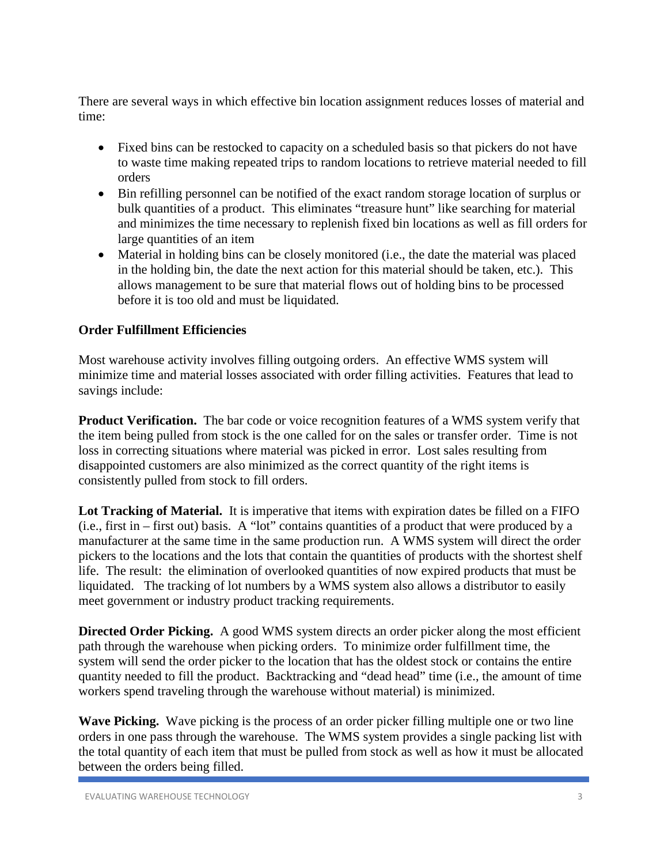There are several ways in which effective bin location assignment reduces losses of material and time:

- Fixed bins can be restocked to capacity on a scheduled basis so that pickers do not have to waste time making repeated trips to random locations to retrieve material needed to fill orders
- Bin refilling personnel can be notified of the exact random storage location of surplus or bulk quantities of a product. This eliminates "treasure hunt" like searching for material and minimizes the time necessary to replenish fixed bin locations as well as fill orders for large quantities of an item
- Material in holding bins can be closely monitored (i.e., the date the material was placed in the holding bin, the date the next action for this material should be taken, etc.). This allows management to be sure that material flows out of holding bins to be processed before it is too old and must be liquidated.

# **Order Fulfillment Efficiencies**

Most warehouse activity involves filling outgoing orders. An effective WMS system will minimize time and material losses associated with order filling activities. Features that lead to savings include:

**Product Verification.** The bar code or voice recognition features of a WMS system verify that the item being pulled from stock is the one called for on the sales or transfer order. Time is not loss in correcting situations where material was picked in error. Lost sales resulting from disappointed customers are also minimized as the correct quantity of the right items is consistently pulled from stock to fill orders.

**Lot Tracking of Material.** It is imperative that items with expiration dates be filled on a FIFO (i.e., first in – first out) basis. A "lot" contains quantities of a product that were produced by a manufacturer at the same time in the same production run. A WMS system will direct the order pickers to the locations and the lots that contain the quantities of products with the shortest shelf life. The result: the elimination of overlooked quantities of now expired products that must be liquidated. The tracking of lot numbers by a WMS system also allows a distributor to easily meet government or industry product tracking requirements.

**Directed Order Picking.** A good WMS system directs an order picker along the most efficient path through the warehouse when picking orders. To minimize order fulfillment time, the system will send the order picker to the location that has the oldest stock or contains the entire quantity needed to fill the product. Backtracking and "dead head" time (i.e., the amount of time workers spend traveling through the warehouse without material) is minimized.

**Wave Picking.** Wave picking is the process of an order picker filling multiple one or two line orders in one pass through the warehouse. The WMS system provides a single packing list with the total quantity of each item that must be pulled from stock as well as how it must be allocated between the orders being filled.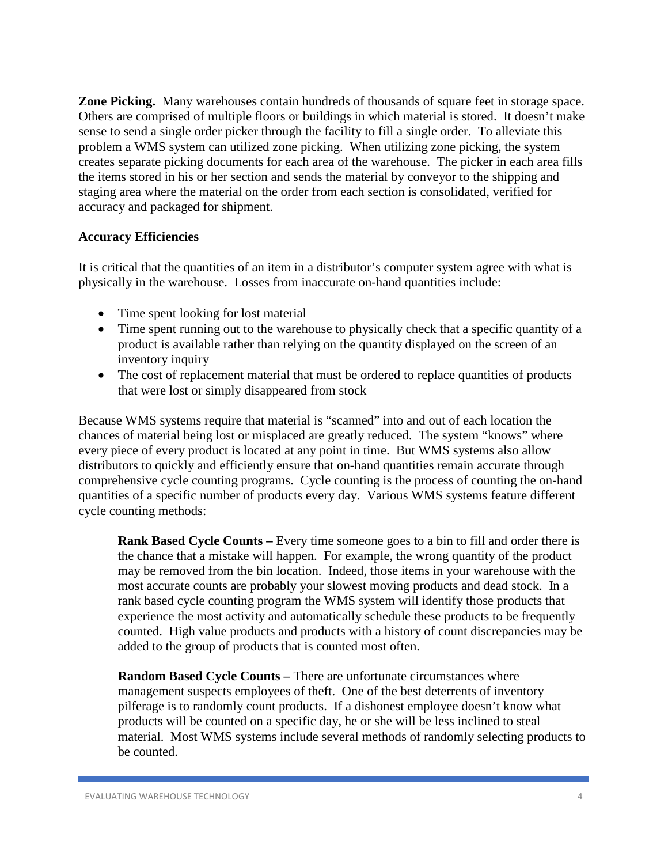**Zone Picking.** Many warehouses contain hundreds of thousands of square feet in storage space. Others are comprised of multiple floors or buildings in which material is stored. It doesn't make sense to send a single order picker through the facility to fill a single order. To alleviate this problem a WMS system can utilized zone picking. When utilizing zone picking, the system creates separate picking documents for each area of the warehouse. The picker in each area fills the items stored in his or her section and sends the material by conveyor to the shipping and staging area where the material on the order from each section is consolidated, verified for accuracy and packaged for shipment.

#### **Accuracy Efficiencies**

It is critical that the quantities of an item in a distributor's computer system agree with what is physically in the warehouse. Losses from inaccurate on-hand quantities include:

- Time spent looking for lost material
- Time spent running out to the warehouse to physically check that a specific quantity of a product is available rather than relying on the quantity displayed on the screen of an inventory inquiry
- The cost of replacement material that must be ordered to replace quantities of products that were lost or simply disappeared from stock

Because WMS systems require that material is "scanned" into and out of each location the chances of material being lost or misplaced are greatly reduced. The system "knows" where every piece of every product is located at any point in time. But WMS systems also allow distributors to quickly and efficiently ensure that on-hand quantities remain accurate through comprehensive cycle counting programs. Cycle counting is the process of counting the on-hand quantities of a specific number of products every day. Various WMS systems feature different cycle counting methods:

**Rank Based Cycle Counts –** Every time someone goes to a bin to fill and order there is the chance that a mistake will happen. For example, the wrong quantity of the product may be removed from the bin location. Indeed, those items in your warehouse with the most accurate counts are probably your slowest moving products and dead stock. In a rank based cycle counting program the WMS system will identify those products that experience the most activity and automatically schedule these products to be frequently counted. High value products and products with a history of count discrepancies may be added to the group of products that is counted most often.

**Random Based Cycle Counts –** There are unfortunate circumstances where management suspects employees of theft. One of the best deterrents of inventory pilferage is to randomly count products. If a dishonest employee doesn't know what products will be counted on a specific day, he or she will be less inclined to steal material. Most WMS systems include several methods of randomly selecting products to be counted.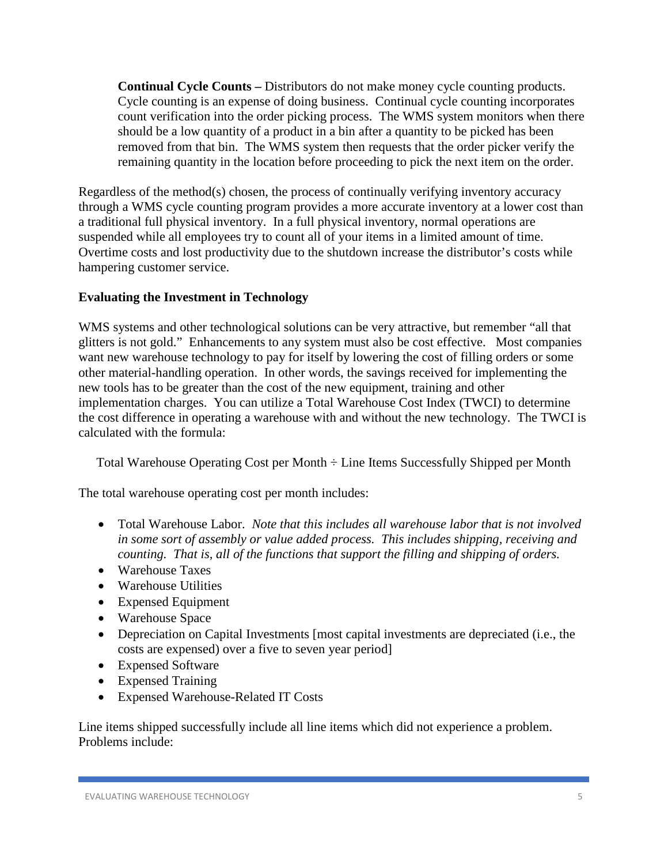**Continual Cycle Counts –** Distributors do not make money cycle counting products. Cycle counting is an expense of doing business. Continual cycle counting incorporates count verification into the order picking process. The WMS system monitors when there should be a low quantity of a product in a bin after a quantity to be picked has been removed from that bin. The WMS system then requests that the order picker verify the remaining quantity in the location before proceeding to pick the next item on the order.

Regardless of the method(s) chosen, the process of continually verifying inventory accuracy through a WMS cycle counting program provides a more accurate inventory at a lower cost than a traditional full physical inventory. In a full physical inventory, normal operations are suspended while all employees try to count all of your items in a limited amount of time. Overtime costs and lost productivity due to the shutdown increase the distributor's costs while hampering customer service.

# **Evaluating the Investment in Technology**

WMS systems and other technological solutions can be very attractive, but remember "all that glitters is not gold." Enhancements to any system must also be cost effective. Most companies want new warehouse technology to pay for itself by lowering the cost of filling orders or some other material-handling operation. In other words, the savings received for implementing the new tools has to be greater than the cost of the new equipment, training and other implementation charges. You can utilize a Total Warehouse Cost Index (TWCI) to determine the cost difference in operating a warehouse with and without the new technology. The TWCI is calculated with the formula:

Total Warehouse Operating Cost per Month ÷ Line Items Successfully Shipped per Month

The total warehouse operating cost per month includes:

- Total Warehouse Labor. *Note that this includes all warehouse labor that is not involved in some sort of assembly or value added process. This includes shipping, receiving and counting. That is, all of the functions that support the filling and shipping of orders.*
- Warehouse Taxes
- Warehouse Utilities
- Expensed Equipment
- Warehouse Space
- Depreciation on Capital Investments [most capital investments are depreciated (i.e., the costs are expensed) over a five to seven year period]
- Expensed Software
- Expensed Training
- Expensed Warehouse-Related IT Costs

Line items shipped successfully include all line items which did not experience a problem. Problems include: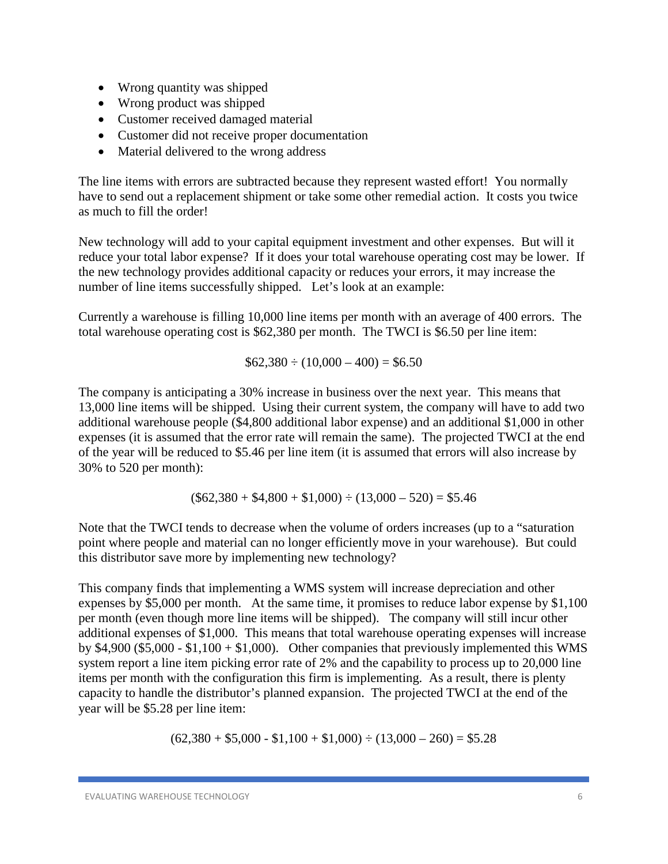- Wrong quantity was shipped
- Wrong product was shipped
- Customer received damaged material
- Customer did not receive proper documentation
- Material delivered to the wrong address

The line items with errors are subtracted because they represent wasted effort! You normally have to send out a replacement shipment or take some other remedial action. It costs you twice as much to fill the order!

New technology will add to your capital equipment investment and other expenses. But will it reduce your total labor expense? If it does your total warehouse operating cost may be lower. If the new technology provides additional capacity or reduces your errors, it may increase the number of line items successfully shipped. Let's look at an example:

Currently a warehouse is filling 10,000 line items per month with an average of 400 errors. The total warehouse operating cost is \$62,380 per month. The TWCI is \$6.50 per line item:

 $$62,380 \div (10,000 - 400) = $6.50$ 

The company is anticipating a 30% increase in business over the next year. This means that 13,000 line items will be shipped. Using their current system, the company will have to add two additional warehouse people (\$4,800 additional labor expense) and an additional \$1,000 in other expenses (it is assumed that the error rate will remain the same). The projected TWCI at the end of the year will be reduced to \$5.46 per line item (it is assumed that errors will also increase by 30% to 520 per month):

$$
(\$62,380 + \$4,800 + \$1,000) \div (13,000 - 520) = \$5.46
$$

Note that the TWCI tends to decrease when the volume of orders increases (up to a "saturation point where people and material can no longer efficiently move in your warehouse). But could this distributor save more by implementing new technology?

This company finds that implementing a WMS system will increase depreciation and other expenses by \$5,000 per month. At the same time, it promises to reduce labor expense by \$1,100 per month (even though more line items will be shipped). The company will still incur other additional expenses of \$1,000. This means that total warehouse operating expenses will increase by  $$4,900$  (\$5,000 - \$1,100 + \$1,000). Other companies that previously implemented this WMS system report a line item picking error rate of 2% and the capability to process up to 20,000 line items per month with the configuration this firm is implementing. As a result, there is plenty capacity to handle the distributor's planned expansion. The projected TWCI at the end of the year will be \$5.28 per line item:

$$
(62,380 + $5,000 - $1,100 + $1,000) \div (13,000 - 260) = $5.28
$$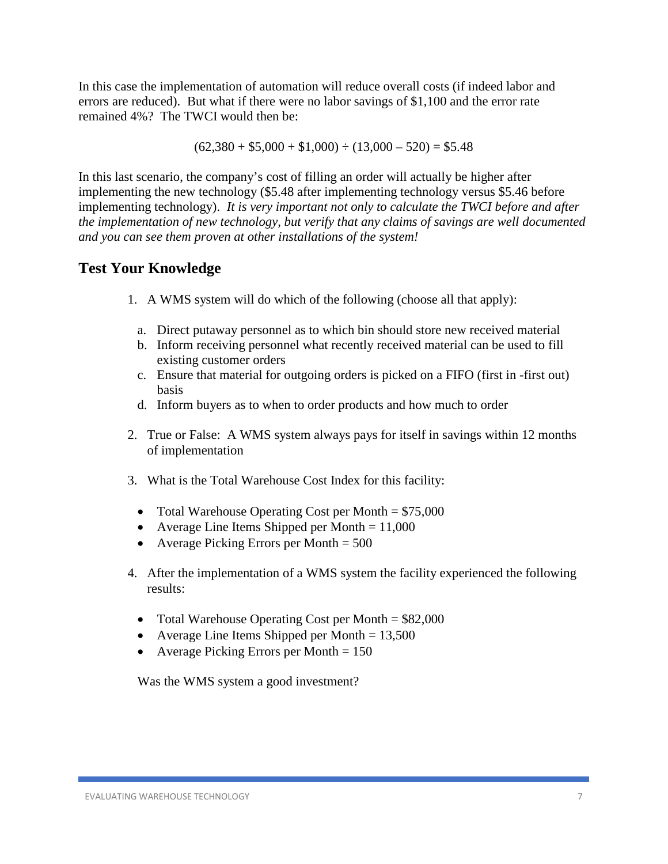In this case the implementation of automation will reduce overall costs (if indeed labor and errors are reduced). But what if there were no labor savings of \$1,100 and the error rate remained 4%? The TWCI would then be:

 $(62,380 + $5,000 + $1,000) \div (13,000 - 520) = $5,48$ 

In this last scenario, the company's cost of filling an order will actually be higher after implementing the new technology (\$5.48 after implementing technology versus \$5.46 before implementing technology). *It is very important not only to calculate the TWCI before and after the implementation of new technology, but verify that any claims of savings are well documented and you can see them proven at other installations of the system!*

# **Test Your Knowledge**

- 1. A WMS system will do which of the following (choose all that apply):
	- a. Direct putaway personnel as to which bin should store new received material
	- b. Inform receiving personnel what recently received material can be used to fill existing customer orders
	- c. Ensure that material for outgoing orders is picked on a FIFO (first in -first out) basis
	- d. Inform buyers as to when to order products and how much to order
- 2. True or False: A WMS system always pays for itself in savings within 12 months of implementation
- 3. What is the Total Warehouse Cost Index for this facility:
	- Total Warehouse Operating Cost per Month =  $$75,000$
	- Average Line Items Shipped per Month  $= 11,000$
	- Average Picking Errors per Month  $= 500$
- 4. After the implementation of a WMS system the facility experienced the following results:
	- Total Warehouse Operating Cost per Month  $= $82,000$
	- Average Line Items Shipped per Month  $= 13,500$
	- Average Picking Errors per Month  $= 150$

Was the WMS system a good investment?